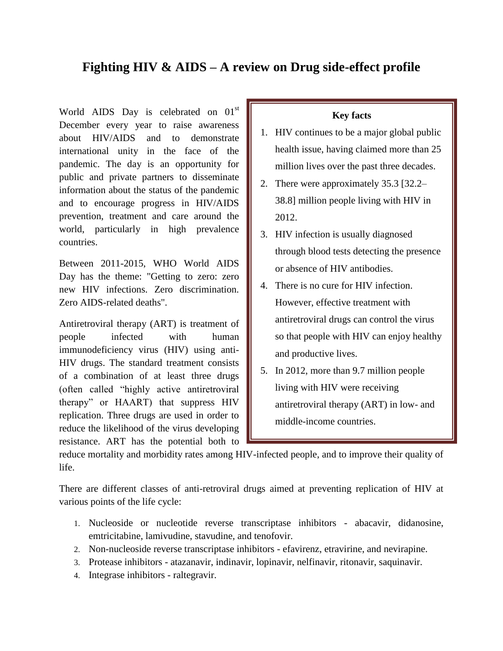# **Fighting HIV & AIDS – A review on Drug side-effect profile**

World AIDS Day is celebrated on  $01<sup>st</sup>$ December every year to raise awareness about HIV/AIDS and to demonstrate international unity in the face of the pandemic. The day is an opportunity for public and private partners to disseminate information about the status of the pandemic and to encourage progress in HIV/AIDS prevention, treatment and care around the world, particularly in high prevalence countries.

Between 2011-2015, WHO World AIDS Day has the theme: "Getting to zero: zero new HIV infections. Zero discrimination. Zero AIDS-related deaths".

Antiretroviral therapy (ART) is treatment of people infected with human immunodeficiency virus (HIV) using anti-HIV drugs. The standard treatment consists of a combination of at least three drugs (often called "highly active antiretroviral therapy" or HAART) that suppress HIV replication. Three drugs are used in order to reduce the likelihood of the virus developing resistance. ART has the potential both to

#### **Key facts**

- 1. HIV continues to be a major global public health issue, having claimed more than 25 million lives over the past three decades.
- 2. There were approximately 35.3 [32.2– 38.8] million people living with HIV in 2012.
- 3. HIV infection is usually diagnosed through blood tests detecting the presence or absence of HIV antibodies.
- 4. There is no cure for HIV infection. However, effective treatment with antiretroviral drugs can control the virus so that people with HIV can enjoy healthy and productive lives.
- 5. In 2012, more than 9.7 million people living with HIV were receiving antiretroviral therapy (ART) in low- and middle-income countries.

reduce mortality and morbidity rates among HIV-infected people, and to improve their quality of life.

There are different classes of anti-retroviral drugs aimed at preventing replication of HIV at various points of the life cycle:

- 1. Nucleoside or nucleotide reverse transcriptase inhibitors abacavir, didanosine, emtricitabine, lamivudine, stavudine, and tenofovir.
- 2. Non-nucleoside reverse transcriptase inhibitors efavirenz, etravirine, and nevirapine.
- 3. Protease inhibitors atazanavir, indinavir, lopinavir, nelfinavir, ritonavir, saquinavir.
- 4. Integrase inhibitors raltegravir.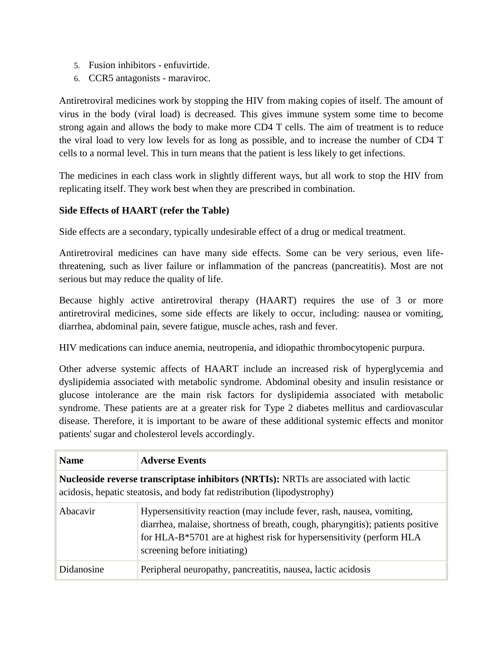- 5. Fusion inhibitors enfuvirtide.
- 6. CCR5 antagonists maraviroc.

Antiretroviral medicines work by stopping the HIV from making copies of itself. The amount of virus in the body (viral load) is decreased. This gives immune system some time to become strong again and allows the body to make more CD4 T cells. The aim of treatment is to reduce the viral load to very low levels for as long as possible, and to increase the number of CD4 T cells to a normal level. This in turn means that the patient is less likely to get infections.

The medicines in each class work in slightly different ways, but all work to stop the HIV from replicating itself. They work best when they are prescribed in combination.

#### **Side Effects of HAART (refer the Table)**

Side effects are a secondary, typically undesirable effect of a drug or medical treatment.

Antiretroviral medicines can have many side effects. Some can be very serious, even lifethreatening, such as liver failure or inflammation of the pancreas (pancreatitis). Most are not serious but may reduce the quality of life.

Because highly active antiretroviral therapy (HAART) requires the use of 3 or more antiretroviral medicines, some side effects are likely to occur, including: nausea or vomiting, diarrhea, abdominal pain, severe fatigue, muscle aches, rash and fever.

HIV medications can induce anemia, neutropenia, and idiopathic thrombocytopenic purpura.

Other adverse systemic affects of HAART include an increased risk of hyperglycemia and dyslipidemia associated with metabolic syndrome. Abdominal obesity and insulin resistance or glucose intolerance are the main risk factors for dyslipidemia associated with metabolic syndrome. These patients are at a greater risk for Type 2 diabetes mellitus and cardiovascular disease. Therefore, it is important to be aware of these additional systemic effects and monitor patients' sugar and cholesterol levels accordingly.

| <b>Name</b>                                                                                                                                                       | <b>Adverse Events</b>                                                                                                                                                                                                                                           |  |
|-------------------------------------------------------------------------------------------------------------------------------------------------------------------|-----------------------------------------------------------------------------------------------------------------------------------------------------------------------------------------------------------------------------------------------------------------|--|
| Nucleoside reverse transcriptase inhibitors (NRTIs): NRTIs are associated with lactic<br>acidosis, hepatic steatosis, and body fat redistribution (lipodystrophy) |                                                                                                                                                                                                                                                                 |  |
| Abacavir                                                                                                                                                          | Hypersensitivity reaction (may include fever, rash, nausea, vomiting,<br>diarrhea, malaise, shortness of breath, cough, pharyngitis); patients positive<br>for HLA-B*5701 are at highest risk for hypersensitivity (perform HLA<br>screening before initiating) |  |
| Didanosine                                                                                                                                                        | Peripheral neuropathy, pancreatitis, nausea, lactic acidosis                                                                                                                                                                                                    |  |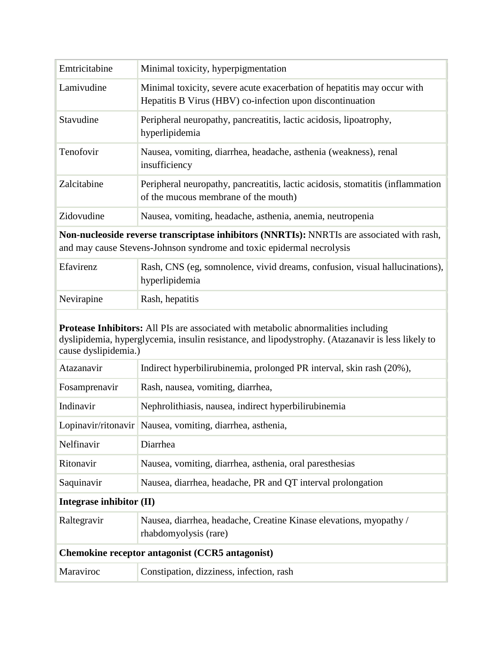| Emtricitabine                                                                                                                                                       | Minimal toxicity, hyperpigmentation                                                                                                  |
|---------------------------------------------------------------------------------------------------------------------------------------------------------------------|--------------------------------------------------------------------------------------------------------------------------------------|
| Lamivudine                                                                                                                                                          | Minimal toxicity, severe acute exacerbation of hepatitis may occur with<br>Hepatitis B Virus (HBV) co-infection upon discontinuation |
| Stavudine                                                                                                                                                           | Peripheral neuropathy, pancreatitis, lactic acidosis, lipoatrophy,<br>hyperlipidemia                                                 |
| Tenofovir                                                                                                                                                           | Nausea, vomiting, diarrhea, headache, asthenia (weakness), renal<br>insufficiency                                                    |
| Zalcitabine                                                                                                                                                         | Peripheral neuropathy, pancreatitis, lactic acidosis, stomatitis (inflammation<br>of the mucous membrane of the mouth)               |
| Zidovudine                                                                                                                                                          | Nausea, vomiting, headache, asthenia, anemia, neutropenia                                                                            |
| Non-nucleoside reverse transcriptase inhibitors (NNRTIs): NNRTIs are associated with rash,<br>and may cause Stevens-Johnson syndrome and toxic epidermal necrolysis |                                                                                                                                      |
| Efavirenz                                                                                                                                                           | Rash, CNS (eg, somnolence, vivid dreams, confusion, visual hallucinations),                                                          |

| Efavirenz  | Rash, CNS (eg, somnolence, vivid dreams, confusion, visual hallucinations),<br>hyperlipidemia |
|------------|-----------------------------------------------------------------------------------------------|
| Nevirapine | Rash, hepatitis                                                                               |

## **Protease Inhibitors:** All PIs are associated with metabolic abnormalities including dyslipidemia, hyperglycemia, insulin resistance, and lipodystrophy. (Atazanavir is less likely to cause dyslipidemia.)

| Atazanavir                                      | Indirect hyperbilirubinemia, prolonged PR interval, skin rash (20%),                        |  |
|-------------------------------------------------|---------------------------------------------------------------------------------------------|--|
| Fosamprenavir                                   | Rash, nausea, vomiting, diarrhea,                                                           |  |
| Indinavir                                       | Nephrolithiasis, nausea, indirect hyperbilirubinemia                                        |  |
|                                                 | Lopinavir/ritonavir   Nausea, vomiting, diarrhea, asthenia,                                 |  |
| Nelfinavir                                      | Diarrhea                                                                                    |  |
| Ritonavir                                       | Nausea, vomiting, diarrhea, asthenia, oral paresthesias                                     |  |
| Saquinavir                                      | Nausea, diarrhea, headache, PR and QT interval prolongation                                 |  |
| Integrase inhibitor (II)                        |                                                                                             |  |
| Raltegravir                                     | Nausea, diarrhea, headache, Creatine Kinase elevations, myopathy /<br>rhabdomyolysis (rare) |  |
| Chemokine receptor antagonist (CCR5 antagonist) |                                                                                             |  |
| Maraviroc                                       | Constipation, dizziness, infection, rash                                                    |  |